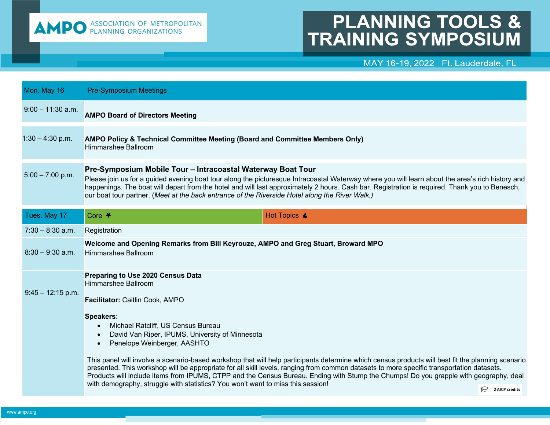

## **PLANNING TOOLS & TRAINING SYMPOSIUM**

## MAY 16-19, 2022 | Ft. Lauderdale, FL

| Mon. May 16         | <b>Pre-Symposium Meetings</b>                                                                                                                                                                                                                                                                                                                                                                                                                                                                                                                       |  |
|---------------------|-----------------------------------------------------------------------------------------------------------------------------------------------------------------------------------------------------------------------------------------------------------------------------------------------------------------------------------------------------------------------------------------------------------------------------------------------------------------------------------------------------------------------------------------------------|--|
| $9:00 - 11:30$ a.m. | <b>AMPO Board of Directors Meeting</b>                                                                                                                                                                                                                                                                                                                                                                                                                                                                                                              |  |
| $1:30 - 4:30$ p.m.  | AMPO Policy & Technical Committee Meeting (Board and Committee Members Only)<br>Himmarshee Ballroom                                                                                                                                                                                                                                                                                                                                                                                                                                                 |  |
| $5:00 - 7:00$ p.m.  | Pre-Symposium Mobile Tour - Intracoastal Waterway Boat Tour<br>Please join us for a guided evening boat tour along the picturesque Intracoastal Waterway where you will learn about the area's rich history and<br>happenings. The boat will depart from the hotel and will last approximately 2 hours. Cash bar. Registration is required. Thank you to Benesch,<br>our boat tour partner. (Meet at the back entrance of the Riverside Hotel along the River Walk.)                                                                                |  |
| Tues. May 17        | Core $*$<br>Hot Topics &                                                                                                                                                                                                                                                                                                                                                                                                                                                                                                                            |  |
| $7:30 - 8:30$ a.m.  | Registration                                                                                                                                                                                                                                                                                                                                                                                                                                                                                                                                        |  |
| $8:30 - 9:30$ a.m.  | Welcome and Opening Remarks from Bill Keyrouze, AMPO and Greg Stuart, Broward MPO<br>Himmarshee Ballroom                                                                                                                                                                                                                                                                                                                                                                                                                                            |  |
| $9:45 - 12:15$ p.m. | <b>Preparing to Use 2020 Census Data</b><br>Himmarshee Ballroom<br>Facilitator: Caitlin Cook, AMPO                                                                                                                                                                                                                                                                                                                                                                                                                                                  |  |
|                     | <b>Speakers:</b><br>Michael Ratcliff, US Census Bureau<br>$\bullet$<br>David Van Riper, IPUMS, University of Minnesota<br>$\bullet$<br>Penelope Weinberger, AASHTO<br>$\bullet$                                                                                                                                                                                                                                                                                                                                                                     |  |
|                     | This panel will involve a scenario-based workshop that will help participants determine which census products will best fit the planning scenario<br>presented. This workshop will be appropriate for all skill levels, ranging from common datasets to more specific transportation datasets.<br>Products will include items from IPUMS, CTPP and the Census Bureau. Ending with Stump the Chumps! Do you grapple with geography, deal<br>with demography, struggle with statistics? You won't want to miss this session!<br><b>2 AICP credits</b> |  |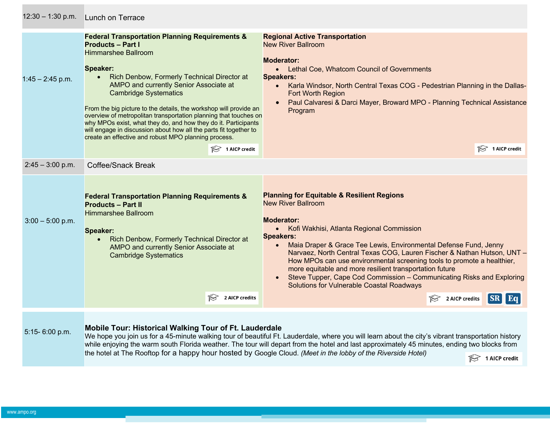| $12:30 - 1:30$ p.m. | <b>Lunch on Terrace</b>                                                                                                                                                                                                                                                                                                                                                                                                                                                                                                                                                                                                                  |                                                                                                                                                                                                                                                                                                                                                                                                                                                                                                                                                                                             |
|---------------------|------------------------------------------------------------------------------------------------------------------------------------------------------------------------------------------------------------------------------------------------------------------------------------------------------------------------------------------------------------------------------------------------------------------------------------------------------------------------------------------------------------------------------------------------------------------------------------------------------------------------------------------|---------------------------------------------------------------------------------------------------------------------------------------------------------------------------------------------------------------------------------------------------------------------------------------------------------------------------------------------------------------------------------------------------------------------------------------------------------------------------------------------------------------------------------------------------------------------------------------------|
| $1:45 - 2:45$ p.m.  | <b>Federal Transportation Planning Requirements &amp;</b><br><b>Products - Part I</b><br><b>Himmarshee Ballroom</b><br>Speaker:<br>Rich Denbow, Formerly Technical Director at<br>$\bullet$<br>AMPO and currently Senior Associate at<br><b>Cambridge Systematics</b><br>From the big picture to the details, the workshop will provide an<br>overview of metropolitan transportation planning that touches on<br>why MPOs exist, what they do, and how they do it. Participants<br>will engage in discussion about how all the parts fit together to<br>create an effective and robust MPO planning process.<br>$\approx$ 1 AICP credit | <b>Regional Active Transportation</b><br><b>New River Ballroom</b><br><b>Moderator:</b><br>• Lethal Coe, Whatcom Council of Governments<br><b>Speakers:</b><br>Karla Windsor, North Central Texas COG - Pedestrian Planning in the Dallas-<br>$\bullet$<br>Fort Worth Region<br>Paul Calvaresi & Darci Mayer, Broward MPO - Planning Technical Assistance<br>Program<br>$\approx$ 1 AICP credit                                                                                                                                                                                             |
| $2:45 - 3:00$ p.m.  | <b>Coffee/Snack Break</b>                                                                                                                                                                                                                                                                                                                                                                                                                                                                                                                                                                                                                |                                                                                                                                                                                                                                                                                                                                                                                                                                                                                                                                                                                             |
| $3:00 - 5:00$ p.m.  | <b>Federal Transportation Planning Requirements &amp;</b><br><b>Products - Part II</b><br><b>Himmarshee Ballroom</b><br>Speaker:<br>Rich Denbow, Formerly Technical Director at<br>$\bullet$<br>AMPO and currently Senior Associate at<br><b>Cambridge Systematics</b>                                                                                                                                                                                                                                                                                                                                                                   | <b>Planning for Equitable &amp; Resilient Regions</b><br><b>New River Ballroom</b><br><b>Moderator:</b><br>• Kofi Wakhisi, Atlanta Regional Commission<br><b>Speakers:</b><br>Maia Draper & Grace Tee Lewis, Environmental Defense Fund, Jenny<br>Narvaez, North Central Texas COG, Lauren Fischer & Nathan Hutson, UNT -<br>How MPOs can use environmental screening tools to promote a healthier,<br>more equitable and more resilient transportation future<br>Steve Tupper, Cape Cod Commission - Communicating Risks and Exploring<br><b>Solutions for Vulnerable Coastal Roadways</b> |
|                     | $\approx$ 2 AICP credits                                                                                                                                                                                                                                                                                                                                                                                                                                                                                                                                                                                                                 | 2 AICP credits<br>$ SR $ Eq.                                                                                                                                                                                                                                                                                                                                                                                                                                                                                                                                                                |
| 5:15-6:00 p.m.      | <b>Mobile Tour: Historical Walking Tour of Ft. Lauderdale</b><br>the hotel at The Rooftop for a happy hour hosted by Google Cloud. (Meet in the lobby of the Riverside Hotel)                                                                                                                                                                                                                                                                                                                                                                                                                                                            | We hope you join us for a 45-minute walking tour of beautiful Ft. Lauderdale, where you will learn about the city's vibrant transportation history<br>while enjoying the warm south Florida weather. The tour will depart from the hotel and last approximately 45 minutes, ending two blocks from<br>$\approx$ 1 AICP credit                                                                                                                                                                                                                                                               |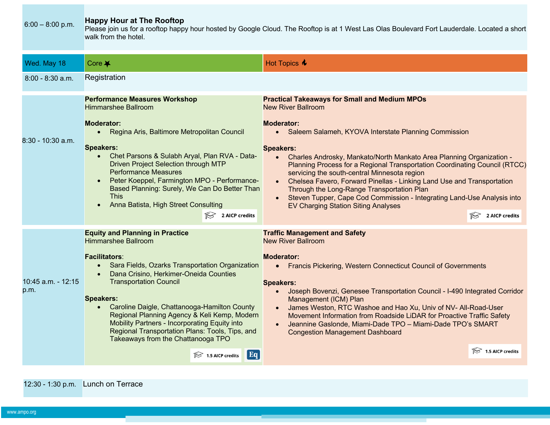| $6:00 - 8:00$ p.m.         | <b>Happy Hour at The Rooftop</b><br>Please join us for a rooftop happy hour hosted by Google Cloud. The Rooftop is at 1 West Las Olas Boulevard Fort Lauderdale. Located a short<br>walk from the hotel.                                                                                                                                                                                                                                                                                                                                 |                                                                                                                                                                                                                                                                                                                                                                                                                                                                                                                                                                                                                                                                            |  |
|----------------------------|------------------------------------------------------------------------------------------------------------------------------------------------------------------------------------------------------------------------------------------------------------------------------------------------------------------------------------------------------------------------------------------------------------------------------------------------------------------------------------------------------------------------------------------|----------------------------------------------------------------------------------------------------------------------------------------------------------------------------------------------------------------------------------------------------------------------------------------------------------------------------------------------------------------------------------------------------------------------------------------------------------------------------------------------------------------------------------------------------------------------------------------------------------------------------------------------------------------------------|--|
| Wed. May 18                | Core $\blacktriangleright$                                                                                                                                                                                                                                                                                                                                                                                                                                                                                                               | Hot Topics $\triangle$                                                                                                                                                                                                                                                                                                                                                                                                                                                                                                                                                                                                                                                     |  |
| $8:00 - 8:30$ a.m.         | Registration                                                                                                                                                                                                                                                                                                                                                                                                                                                                                                                             |                                                                                                                                                                                                                                                                                                                                                                                                                                                                                                                                                                                                                                                                            |  |
| $8:30 - 10:30$ a.m.        | <b>Performance Measures Workshop</b><br><b>Himmarshee Ballroom</b><br><b>Moderator:</b><br>Regina Aris, Baltimore Metropolitan Council<br>$\bullet$<br><b>Speakers:</b><br>Chet Parsons & Sulabh Aryal, Plan RVA - Data-<br><b>Driven Project Selection through MTP</b><br><b>Performance Measures</b><br>Peter Koeppel, Farmington MPO - Performance-<br>Based Planning: Surely, We Can Do Better Than<br><b>This</b><br>Anna Batista, High Street Consulting<br>$\approx$ 2 AICP credits                                               | <b>Practical Takeaways for Small and Medium MPOs</b><br><b>New River Ballroom</b><br><b>Moderator:</b><br>• Saleem Salameh, KYOVA Interstate Planning Commission<br><b>Speakers:</b><br>Charles Androsky, Mankato/North Mankato Area Planning Organization -<br>Planning Process for a Regional Transportation Coordinating Council (RTCC)<br>servicing the south-central Minnesota region<br>Chelsea Favero, Forward Pinellas - Linking Land Use and Transportation<br>Through the Long-Range Transportation Plan<br>Steven Tupper, Cape Cod Commission - Integrating Land-Use Analysis into<br><b>EV Charging Station Siting Analyses</b><br>2 AICP credits<br>$\approx$ |  |
| 10:45 a.m. - 12:15<br>p.m. | <b>Equity and Planning in Practice</b><br><b>Himmarshee Ballroom</b><br><b>Facilitators:</b><br>Sara Fields, Ozarks Transportation Organization<br>$\bullet$<br>Dana Crisino, Herkimer-Oneida Counties<br><b>Transportation Council</b><br><b>Speakers:</b><br>Caroline Daigle, Chattanooga-Hamilton County<br>Regional Planning Agency & Keli Kemp, Modern<br><b>Mobility Partners - Incorporating Equity into</b><br>Regional Transportation Plans: Tools, Tips, and<br>Takeaways from the Chattanooga TPO<br>Eq<br>$1.5$ AICP credits | <b>Traffic Management and Safety</b><br><b>New River Ballroom</b><br><b>Moderator:</b><br>• Francis Pickering, Western Connecticut Council of Governments<br><b>Speakers:</b><br>Joseph Bovenzi, Genesee Transportation Council - I-490 Integrated Corridor<br>Management (ICM) Plan<br>James Weston, RTC Washoe and Hao Xu, Univ of NV- All-Road-User<br>Movement Information from Roadside LiDAR for Proactive Traffic Safety<br>Jeannine Gaslonde, Miami-Dade TPO - Miami-Dade TPO's SMART<br><b>Congestion Management Dashboard</b><br>1.5 AICP credits                                                                                                                |  |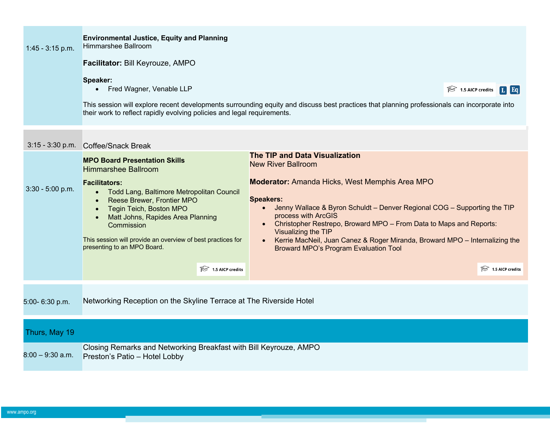| $1:45 - 3:15$ p.m. | <b>Environmental Justice, Equity and Planning</b><br><b>Himmarshee Ballroom</b>                                                                                                                                                                                                                                    |                                                                                                                                                                                                                                                                                                                                                                                                          |  |  |
|--------------------|--------------------------------------------------------------------------------------------------------------------------------------------------------------------------------------------------------------------------------------------------------------------------------------------------------------------|----------------------------------------------------------------------------------------------------------------------------------------------------------------------------------------------------------------------------------------------------------------------------------------------------------------------------------------------------------------------------------------------------------|--|--|
|                    | Facilitator: Bill Keyrouze, AMPO                                                                                                                                                                                                                                                                                   |                                                                                                                                                                                                                                                                                                                                                                                                          |  |  |
|                    | Speaker:<br>• Fred Wagner, Venable LLP                                                                                                                                                                                                                                                                             | $\approx$ 1.5 AICP credits<br>$\boxed{\text{L}}$ Eq                                                                                                                                                                                                                                                                                                                                                      |  |  |
|                    | This session will explore recent developments surrounding equity and discuss best practices that planning professionals can incorporate into<br>their work to reflect rapidly evolving policies and legal requirements.                                                                                            |                                                                                                                                                                                                                                                                                                                                                                                                          |  |  |
| $3:15 - 3:30$ p.m. | Coffee/Snack Break                                                                                                                                                                                                                                                                                                 |                                                                                                                                                                                                                                                                                                                                                                                                          |  |  |
|                    | <b>MPO Board Presentation Skills</b><br><b>Himmarshee Ballroom</b>                                                                                                                                                                                                                                                 | <b>The TIP and Data Visualization</b><br><b>New River Ballroom</b>                                                                                                                                                                                                                                                                                                                                       |  |  |
| $3:30 - 5:00$ p.m. | <b>Facilitators:</b><br>Todd Lang, Baltimore Metropolitan Council<br>$\bullet$<br>Reese Brewer, Frontier MPO<br>Tegin Teich, Boston MPO<br>$\bullet$<br>Matt Johns, Rapides Area Planning<br>$\bullet$<br>Commission<br>This session will provide an overview of best practices for<br>presenting to an MPO Board. | <b>Moderator:</b> Amanda Hicks, West Memphis Area MPO<br><b>Speakers:</b><br>Jenny Wallace & Byron Schuldt - Denver Regional COG - Supporting the TIP<br>process with ArcGIS<br>Christopher Restrepo, Broward MPO - From Data to Maps and Reports:<br>Visualizing the TIP<br>Kerrie MacNeil, Juan Canez & Roger Miranda, Broward MPO - Internalizing the<br><b>Broward MPO's Program Evaluation Tool</b> |  |  |
|                    | $\approx$ 1.5 AICP credits                                                                                                                                                                                                                                                                                         | $\approx$ 1.5 AICP credits                                                                                                                                                                                                                                                                                                                                                                               |  |  |
| 5:00-6:30 p.m.     | Networking Reception on the Skyline Terrace at The Riverside Hotel                                                                                                                                                                                                                                                 |                                                                                                                                                                                                                                                                                                                                                                                                          |  |  |
| Thurs, May 19      |                                                                                                                                                                                                                                                                                                                    |                                                                                                                                                                                                                                                                                                                                                                                                          |  |  |
| $8:00 - 9:30$ a.m. | Closing Remarks and Networking Breakfast with Bill Keyrouze, AMPO<br>Preston's Patio - Hotel Lobby                                                                                                                                                                                                                 |                                                                                                                                                                                                                                                                                                                                                                                                          |  |  |